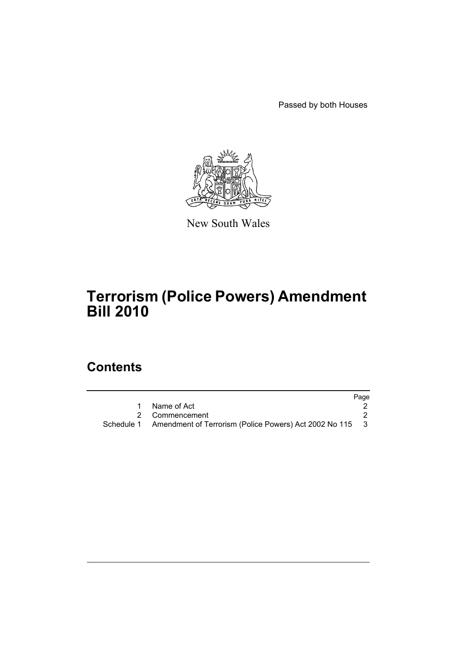Passed by both Houses



New South Wales

# **Terrorism (Police Powers) Amendment Bill 2010**

## **Contents**

|                                                                     | Page |
|---------------------------------------------------------------------|------|
| Name of Act                                                         |      |
| 2 Commencement                                                      |      |
| Schedule 1 Amendment of Terrorism (Police Powers) Act 2002 No 115 3 |      |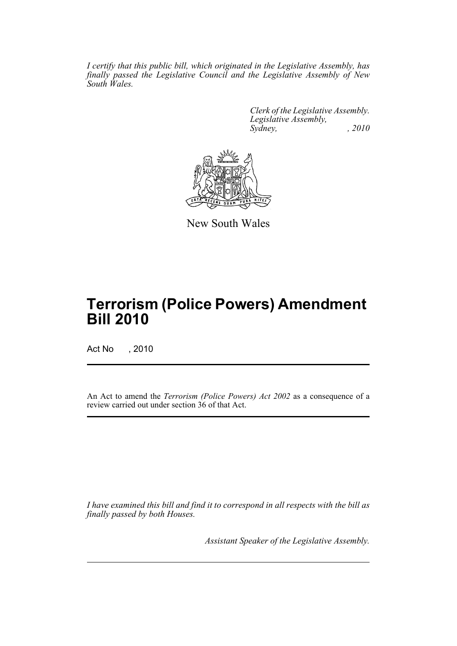*I certify that this public bill, which originated in the Legislative Assembly, has finally passed the Legislative Council and the Legislative Assembly of New South Wales.*

> *Clerk of the Legislative Assembly. Legislative Assembly, Sydney, , 2010*



New South Wales

# **Terrorism (Police Powers) Amendment Bill 2010**

Act No , 2010

An Act to amend the *Terrorism (Police Powers) Act 2002* as a consequence of a review carried out under section 36 of that Act.

*I have examined this bill and find it to correspond in all respects with the bill as finally passed by both Houses.*

*Assistant Speaker of the Legislative Assembly.*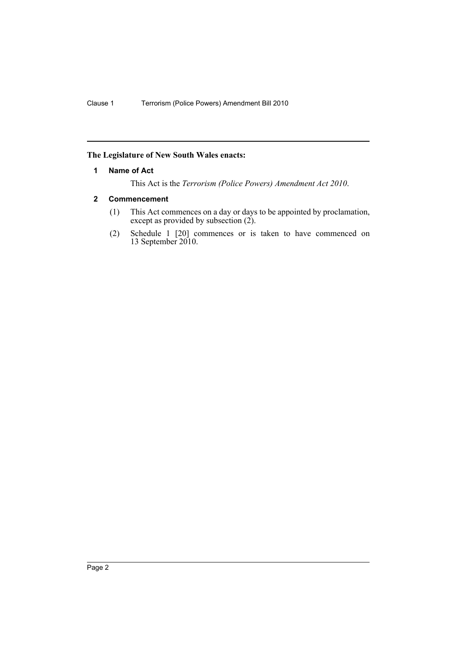## <span id="page-2-0"></span>**The Legislature of New South Wales enacts:**

## **1 Name of Act**

This Act is the *Terrorism (Police Powers) Amendment Act 2010*.

## **2 Commencement**

- (1) This Act commences on a day or days to be appointed by proclamation, except as provided by subsection (2).
- (2) Schedule 1 [20] commences or is taken to have commenced on 13 September 2010.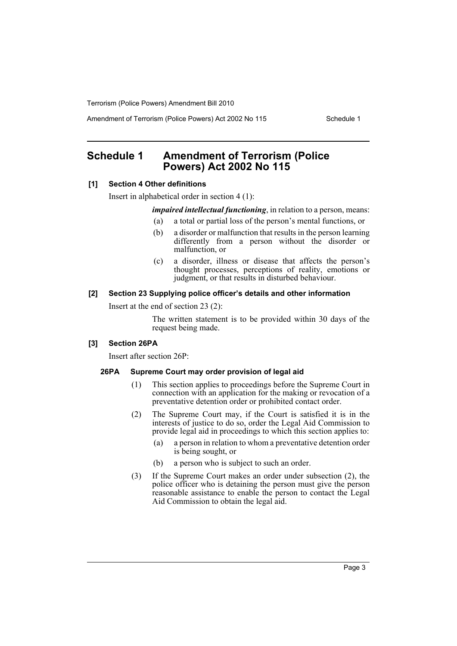Amendment of Terrorism (Police Powers) Act 2002 No 115 Schedule 1

## <span id="page-3-0"></span>**Schedule 1 Amendment of Terrorism (Police Powers) Act 2002 No 115**

#### **[1] Section 4 Other definitions**

Insert in alphabetical order in section 4 (1):

*impaired intellectual functioning*, in relation to a person, means:

- (a) a total or partial loss of the person's mental functions, or
- (b) a disorder or malfunction that results in the person learning differently from a person without the disorder or malfunction, or
- (c) a disorder, illness or disease that affects the person's thought processes, perceptions of reality, emotions or judgment, or that results in disturbed behaviour.

#### **[2] Section 23 Supplying police officer's details and other information**

Insert at the end of section 23 (2):

The written statement is to be provided within 30 days of the request being made.

#### **[3] Section 26PA**

Insert after section 26P:

#### **26PA Supreme Court may order provision of legal aid**

- (1) This section applies to proceedings before the Supreme Court in connection with an application for the making or revocation of a preventative detention order or prohibited contact order.
- (2) The Supreme Court may, if the Court is satisfied it is in the interests of justice to do so, order the Legal Aid Commission to provide legal aid in proceedings to which this section applies to:
	- (a) a person in relation to whom a preventative detention order is being sought, or
	- (b) a person who is subject to such an order.
- (3) If the Supreme Court makes an order under subsection (2), the police officer who is detaining the person must give the person reasonable assistance to enable the person to contact the Legal Aid Commission to obtain the legal aid.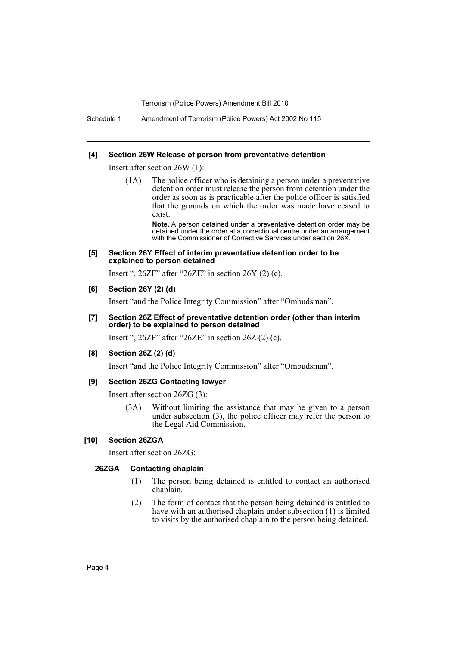Schedule 1 Amendment of Terrorism (Police Powers) Act 2002 No 115

#### **[4] Section 26W Release of person from preventative detention**

Insert after section 26W (1):

(1A) The police officer who is detaining a person under a preventative detention order must release the person from detention under the order as soon as is practicable after the police officer is satisfied that the grounds on which the order was made have ceased to exist.

> **Note.** A person detained under a preventative detention order may be detained under the order at a correctional centre under an arrangement with the Commissioner of Corrective Services under section 26X.

#### **[5] Section 26Y Effect of interim preventative detention order to be explained to person detained**

Insert ",  $26ZF$ " after " $26ZE$ " in section  $26Y(2)(c)$ .

## **[6] Section 26Y (2) (d)**

Insert "and the Police Integrity Commission" after "Ombudsman".

#### **[7] Section 26Z Effect of preventative detention order (other than interim order) to be explained to person detained**

Insert ", 26ZF" after "26ZE" in section 26Z (2) (c).

#### **[8] Section 26Z (2) (d)**

Insert "and the Police Integrity Commission" after "Ombudsman".

## **[9] Section 26ZG Contacting lawyer**

Insert after section 26ZG (3):

(3A) Without limiting the assistance that may be given to a person under subsection (3), the police officer may refer the person to the Legal Aid Commission.

## **[10] Section 26ZGA**

Insert after section 26ZG:

#### **26ZGA Contacting chaplain**

- (1) The person being detained is entitled to contact an authorised chaplain.
- (2) The form of contact that the person being detained is entitled to have with an authorised chaplain under subsection (1) is limited to visits by the authorised chaplain to the person being detained.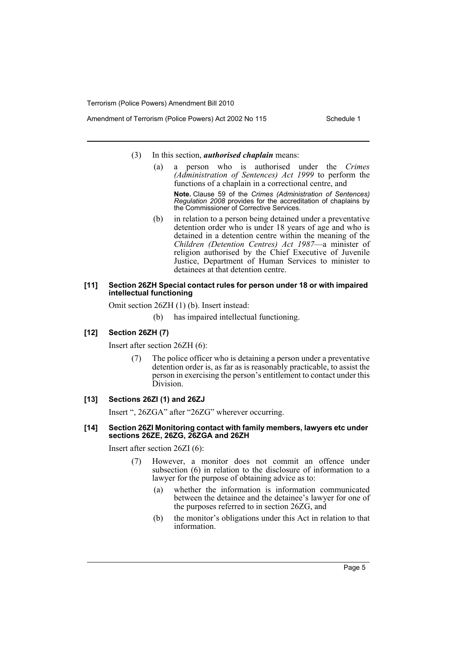- Amendment of Terrorism (Police Powers) Act 2002 No 115 Schedule 1
	- (3) In this section, *authorised chaplain* means:
		- (a) a person who is authorised under the *Crimes (Administration of Sentences) Act 1999* to perform the functions of a chaplain in a correctional centre, and **Note.** Clause 59 of the *Crimes (Administration of Sentences) Regulation 2008* provides for the accreditation of chaplains by the Commissioner of Corrective Services.
		- (b) in relation to a person being detained under a preventative detention order who is under 18 years of age and who is detained in a detention centre within the meaning of the *Children (Detention Centres) Act 1987*—a minister of religion authorised by the Chief Executive of Juvenile Justice, Department of Human Services to minister to detainees at that detention centre.

### **[11] Section 26ZH Special contact rules for person under 18 or with impaired intellectual functioning**

Omit section 26ZH (1) (b). Insert instead:

(b) has impaired intellectual functioning.

## **[12] Section 26ZH (7)**

Insert after section 26ZH (6):

(7) The police officer who is detaining a person under a preventative detention order is, as far as is reasonably practicable, to assist the person in exercising the person's entitlement to contact under this Division.

## **[13] Sections 26ZI (1) and 26ZJ**

Insert ", 26ZGA" after "26ZG" wherever occurring.

#### **[14] Section 26ZI Monitoring contact with family members, lawyers etc under sections 26ZE, 26ZG, 26ZGA and 26ZH**

Insert after section 26ZI (6):

- (7) However, a monitor does not commit an offence under subsection (6) in relation to the disclosure of information to a lawyer for the purpose of obtaining advice as to:
	- (a) whether the information is information communicated between the detainee and the detainee's lawyer for one of the purposes referred to in section 26ZG, and
	- (b) the monitor's obligations under this Act in relation to that information.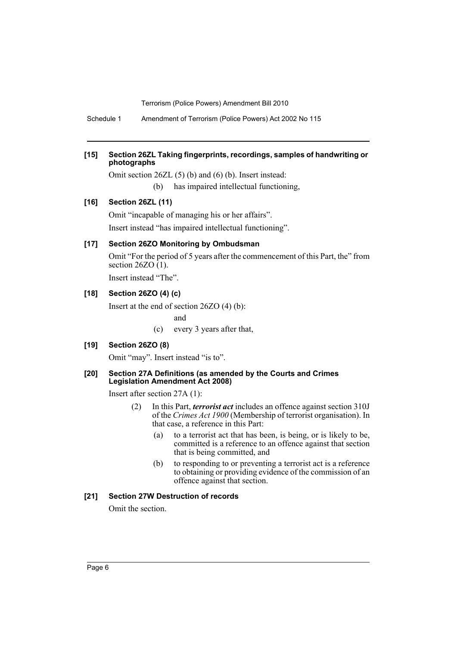Schedule 1 Amendment of Terrorism (Police Powers) Act 2002 No 115

## **[15] Section 26ZL Taking fingerprints, recordings, samples of handwriting or photographs**

Omit section 26ZL (5) (b) and (6) (b). Insert instead: (b) has impaired intellectual functioning,

### **[16] Section 26ZL (11)**

Omit "incapable of managing his or her affairs". Insert instead "has impaired intellectual functioning".

#### **[17] Section 26ZO Monitoring by Ombudsman**

Omit "For the period of 5 years after the commencement of this Part, the" from section  $26ZO(1)$ .

Insert instead "The".

### **[18] Section 26ZO (4) (c)**

Insert at the end of section 26ZO (4) (b):

and

(c) every 3 years after that,

#### **[19] Section 26ZO (8)**

Omit "may". Insert instead "is to".

#### **[20] Section 27A Definitions (as amended by the Courts and Crimes Legislation Amendment Act 2008)**

Insert after section 27A (1):

- (2) In this Part, *terrorist act* includes an offence against section 310J of the *Crimes Act 1900* (Membership of terrorist organisation). In that case, a reference in this Part:
	- (a) to a terrorist act that has been, is being, or is likely to be, committed is a reference to an offence against that section that is being committed, and
	- (b) to responding to or preventing a terrorist act is a reference to obtaining or providing evidence of the commission of an offence against that section.

## **[21] Section 27W Destruction of records**

Omit the section.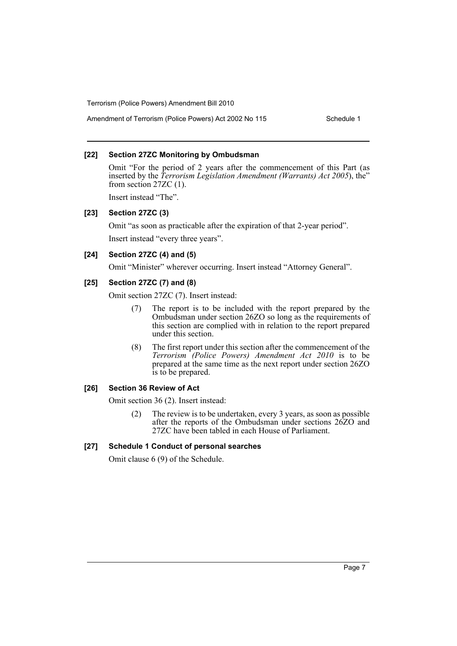Amendment of Terrorism (Police Powers) Act 2002 No 115 Schedule 1

### **[22] Section 27ZC Monitoring by Ombudsman**

Omit "For the period of 2 years after the commencement of this Part (as inserted by the *Terrorism Legislation Amendment (Warrants) Act 2005*), the" from section 27ZC (1).

Insert instead "The".

## **[23] Section 27ZC (3)**

Omit "as soon as practicable after the expiration of that 2-year period".

Insert instead "every three years".

## **[24] Section 27ZC (4) and (5)**

Omit "Minister" wherever occurring. Insert instead "Attorney General".

## **[25] Section 27ZC (7) and (8)**

Omit section 27ZC (7). Insert instead:

- (7) The report is to be included with the report prepared by the Ombudsman under section 26ZO so long as the requirements of this section are complied with in relation to the report prepared under this section.
- (8) The first report under this section after the commencement of the *Terrorism (Police Powers) Amendment Act 2010* is to be prepared at the same time as the next report under section 26ZO is to be prepared.

### **[26] Section 36 Review of Act**

Omit section 36 (2). Insert instead:

(2) The review is to be undertaken, every 3 years, as soon as possible after the reports of the Ombudsman under sections 26ZO and 27ZC have been tabled in each House of Parliament.

### **[27] Schedule 1 Conduct of personal searches**

Omit clause 6 (9) of the Schedule.